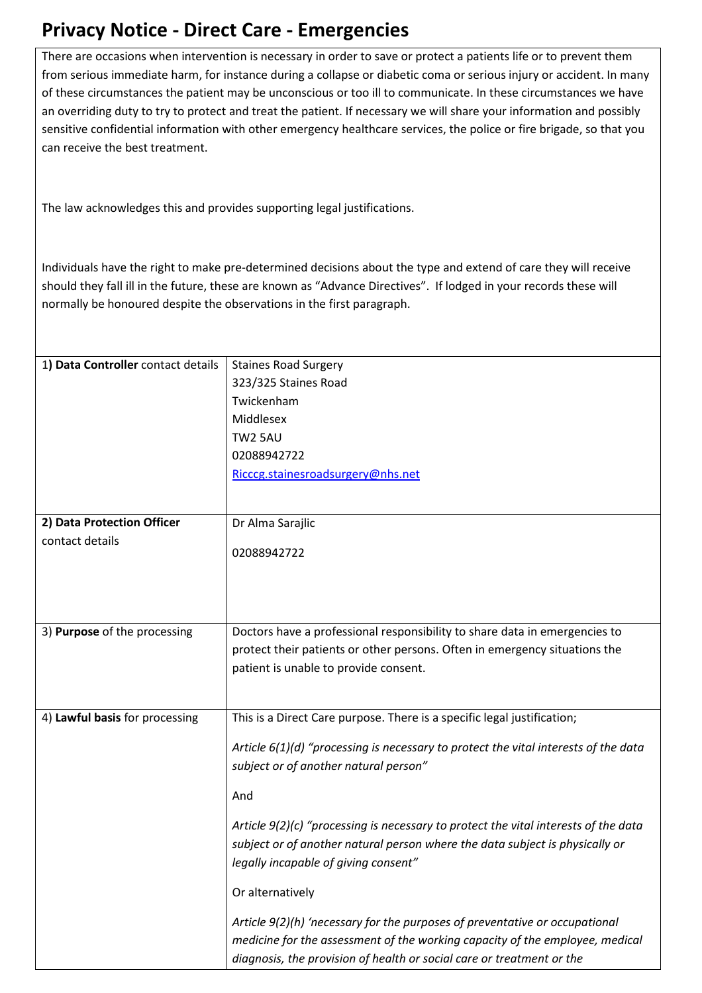## **Privacy Notice - Direct Care - Emergencies**

There are occasions when intervention is necessary in order to save or protect a patients life or to prevent them from serious immediate harm, for instance during a collapse or diabetic coma or serious injury or accident. In many of these circumstances the patient may be unconscious or too ill to communicate. In these circumstances we have an overriding duty to try to protect and treat the patient. If necessary we will share your information and possibly sensitive confidential information with other emergency healthcare services, the police or fire brigade, so that you can receive the best treatment.

The law acknowledges this and provides supporting legal justifications.

Individuals have the right to make pre-determined decisions about the type and extend of care they will receive should they fall ill in the future, these are known as "Advance Directives". If lodged in your records these will normally be honoured despite the observations in the first paragraph.

| 1) Data Controller contact details | <b>Staines Road Surgery</b>                                                         |
|------------------------------------|-------------------------------------------------------------------------------------|
|                                    | 323/325 Staines Road                                                                |
|                                    | Twickenham                                                                          |
|                                    | Middlesex                                                                           |
|                                    | <b>TW2 5AU</b>                                                                      |
|                                    | 02088942722                                                                         |
|                                    | Ricccg.stainesroadsurgery@nhs.net                                                   |
|                                    |                                                                                     |
| 2) Data Protection Officer         | Dr Alma Sarajlic                                                                    |
| contact details                    |                                                                                     |
|                                    | 02088942722                                                                         |
|                                    |                                                                                     |
|                                    |                                                                                     |
|                                    |                                                                                     |
| 3) Purpose of the processing       | Doctors have a professional responsibility to share data in emergencies to          |
|                                    | protect their patients or other persons. Often in emergency situations the          |
|                                    | patient is unable to provide consent.                                               |
|                                    |                                                                                     |
|                                    | This is a Direct Care purpose. There is a specific legal justification;             |
| 4) Lawful basis for processing     |                                                                                     |
|                                    | Article 6(1)(d) "processing is necessary to protect the vital interests of the data |
|                                    | subject or of another natural person"                                               |
|                                    |                                                                                     |
|                                    | And                                                                                 |
|                                    | Article 9(2)(c) "processing is necessary to protect the vital interests of the data |
|                                    | subject or of another natural person where the data subject is physically or        |
|                                    | legally incapable of giving consent"                                                |
|                                    |                                                                                     |
|                                    | Or alternatively                                                                    |
|                                    | Article 9(2)(h) 'necessary for the purposes of preventative or occupational         |
|                                    | medicine for the assessment of the working capacity of the employee, medical        |
|                                    | diagnosis, the provision of health or social care or treatment or the               |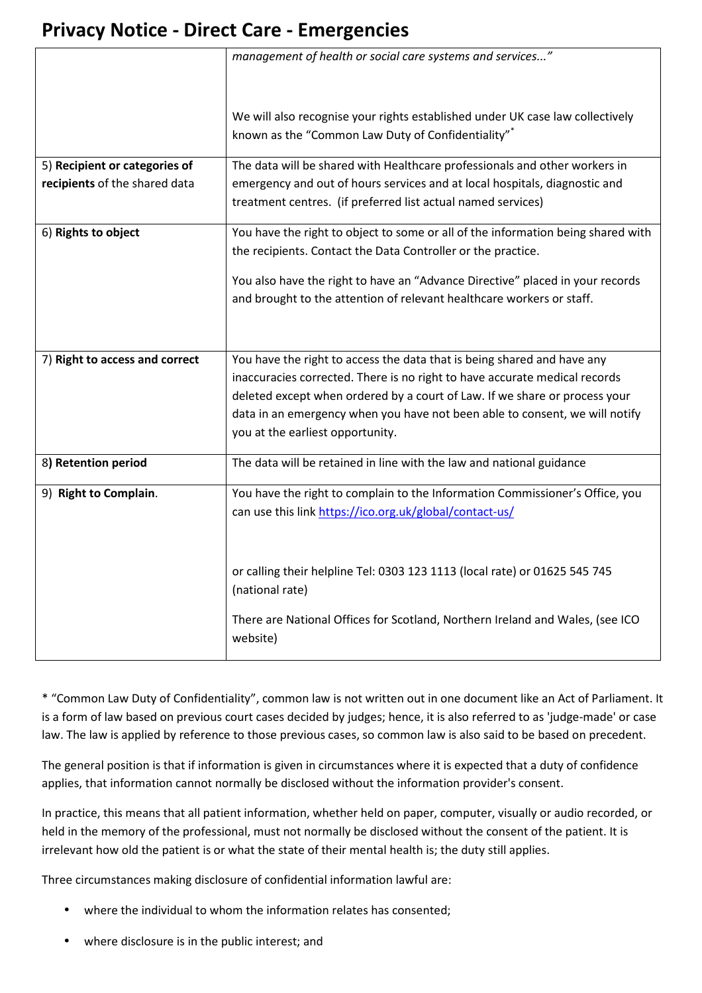## **Privacy Notice - Direct Care - Emergencies**

|                                | management of health or social care systems and services"                        |
|--------------------------------|----------------------------------------------------------------------------------|
|                                |                                                                                  |
|                                | We will also recognise your rights established under UK case law collectively    |
|                                | known as the "Common Law Duty of Confidentiality"*                               |
|                                |                                                                                  |
| 5) Recipient or categories of  | The data will be shared with Healthcare professionals and other workers in       |
| recipients of the shared data  | emergency and out of hours services and at local hospitals, diagnostic and       |
|                                | treatment centres. (if preferred list actual named services)                     |
| 6) Rights to object            | You have the right to object to some or all of the information being shared with |
|                                | the recipients. Contact the Data Controller or the practice.                     |
|                                | You also have the right to have an "Advance Directive" placed in your records    |
|                                | and brought to the attention of relevant healthcare workers or staff.            |
|                                |                                                                                  |
|                                |                                                                                  |
| 7) Right to access and correct | You have the right to access the data that is being shared and have any          |
|                                | inaccuracies corrected. There is no right to have accurate medical records       |
|                                | deleted except when ordered by a court of Law. If we share or process your       |
|                                | data in an emergency when you have not been able to consent, we will notify      |
|                                | you at the earliest opportunity.                                                 |
| 8) Retention period            | The data will be retained in line with the law and national guidance             |
|                                |                                                                                  |
| 9) Right to Complain.          | You have the right to complain to the Information Commissioner's Office, you     |
|                                | can use this link https://ico.org.uk/global/contact-us/                          |
|                                |                                                                                  |
|                                |                                                                                  |
|                                | or calling their helpline Tel: 0303 123 1113 (local rate) or 01625 545 745       |
|                                | (national rate)                                                                  |
|                                | There are National Offices for Scotland, Northern Ireland and Wales, (see ICO    |
|                                | website)                                                                         |
|                                |                                                                                  |

\* "Common Law Duty of Confidentiality", common law is not written out in one document like an Act of Parliament. It is a form of law based on previous court cases decided by judges; hence, it is also referred to as 'judge-made' or case law. The law is applied by reference to those previous cases, so common law is also said to be based on precedent.

The general position is that if information is given in circumstances where it is expected that a duty of confidence applies, that information cannot normally be disclosed without the information provider's consent.

In practice, this means that all patient information, whether held on paper, computer, visually or audio recorded, or held in the memory of the professional, must not normally be disclosed without the consent of the patient. It is irrelevant how old the patient is or what the state of their mental health is; the duty still applies.

Three circumstances making disclosure of confidential information lawful are:

- where the individual to whom the information relates has consented;
- where disclosure is in the public interest; and